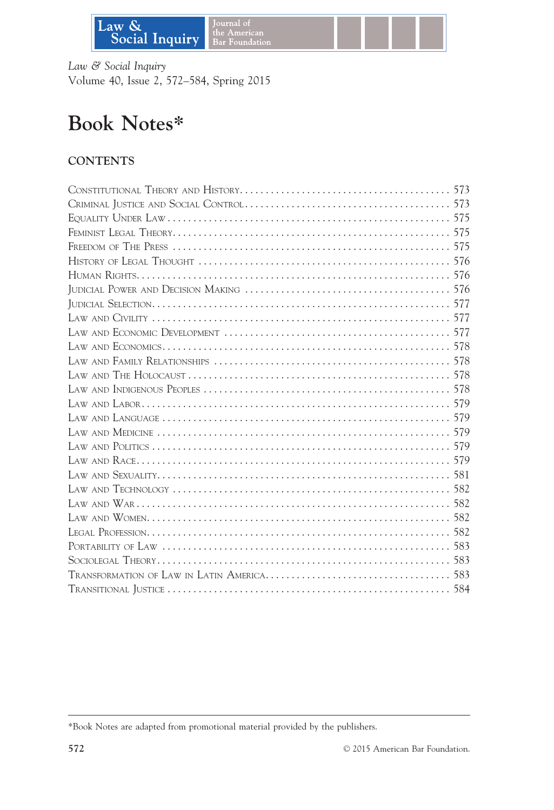

Law & Social Inquiry Volume 40, Issue 2, 572–584, Spring 2015

# Book Notes\*

# **CONTENTS**

<sup>\*</sup>Book Notes are adapted from promotional material provided by the publishers.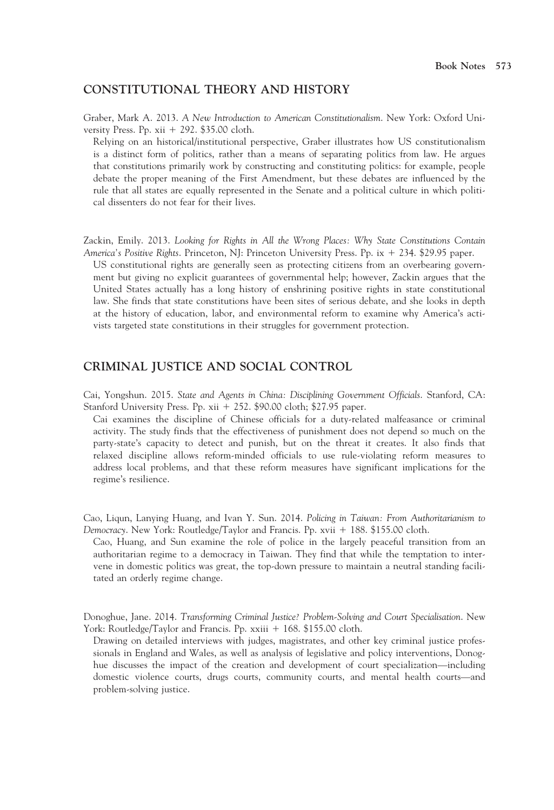#### CONSTITUTIONAL THEORY AND HISTORY

Graber, Mark A. 2013. A New Introduction to American Constitutionalism. New York: Oxford University Press. Pp.  $xii + 292$ . \$35.00 cloth.

Relying on an historical/institutional perspective, Graber illustrates how US constitutionalism is a distinct form of politics, rather than a means of separating politics from law. He argues that constitutions primarily work by constructing and constituting politics: for example, people debate the proper meaning of the First Amendment, but these debates are influenced by the rule that all states are equally represented in the Senate and a political culture in which political dissenters do not fear for their lives.

Zackin, Emily. 2013. Looking for Rights in All the Wrong Places: Why State Constitutions Contain America's Positive Rights. Princeton, NJ: Princeton University Press. Pp. ix + 234. \$29.95 paper.

US constitutional rights are generally seen as protecting citizens from an overbearing government but giving no explicit guarantees of governmental help; however, Zackin argues that the United States actually has a long history of enshrining positive rights in state constitutional law. She finds that state constitutions have been sites of serious debate, and she looks in depth at the history of education, labor, and environmental reform to examine why America's activists targeted state constitutions in their struggles for government protection.

#### CRIMINAL JUSTICE AND SOCIAL CONTROL

Cai, Yongshun. 2015. State and Agents in China: Disciplining Government Officials. Stanford, CA: Stanford University Press. Pp.  $xii + 252$ . \$90.00 cloth; \$27.95 paper.

Cai examines the discipline of Chinese officials for a duty-related malfeasance or criminal activity. The study finds that the effectiveness of punishment does not depend so much on the party-state's capacity to detect and punish, but on the threat it creates. It also finds that relaxed discipline allows reform-minded officials to use rule-violating reform measures to address local problems, and that these reform measures have significant implications for the regime's resilience.

Cao, Liqun, Lanying Huang, and Ivan Y. Sun. 2014. Policing in Taiwan: From Authoritarianism to Democracy. New York: Routledge/Taylor and Francis. Pp. xvii + 188. \$155.00 cloth.

Cao, Huang, and Sun examine the role of police in the largely peaceful transition from an authoritarian regime to a democracy in Taiwan. They find that while the temptation to intervene in domestic politics was great, the top-down pressure to maintain a neutral standing facilitated an orderly regime change.

Donoghue, Jane. 2014. Transforming Criminal Justice? Problem-Solving and Court Specialisation. New York: Routledge/Taylor and Francis. Pp.  $xxiii + 168$ . \$155.00 cloth.

Drawing on detailed interviews with judges, magistrates, and other key criminal justice professionals in England and Wales, as well as analysis of legislative and policy interventions, Donoghue discusses the impact of the creation and development of court specialization—including domestic violence courts, drugs courts, community courts, and mental health courts—and problem-solving justice.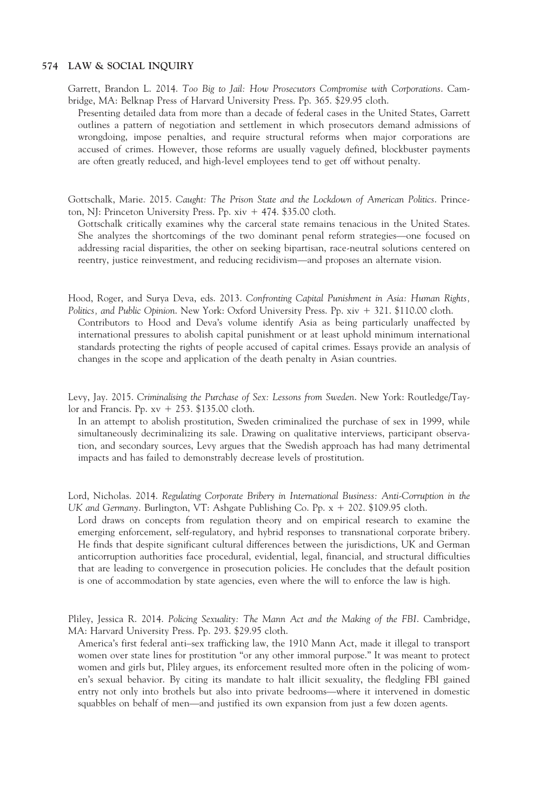Garrett, Brandon L. 2014. Too Big to Jail: How Prosecutors Compromise with Corporations. Cambridge, MA: Belknap Press of Harvard University Press. Pp. 365. \$29.95 cloth.

Presenting detailed data from more than a decade of federal cases in the United States, Garrett outlines a pattern of negotiation and settlement in which prosecutors demand admissions of wrongdoing, impose penalties, and require structural reforms when major corporations are accused of crimes. However, those reforms are usually vaguely defined, blockbuster payments are often greatly reduced, and high-level employees tend to get off without penalty.

Gottschalk, Marie. 2015. Caught: The Prison State and the Lockdown of American Politics. Princeton, NJ: Princeton University Press. Pp.  $xiv + 474$ . \$35.00 cloth.

Gottschalk critically examines why the carceral state remains tenacious in the United States. She analyzes the shortcomings of the two dominant penal reform strategies—one focused on addressing racial disparities, the other on seeking bipartisan, race-neutral solutions centered on reentry, justice reinvestment, and reducing recidivism—and proposes an alternate vision.

Hood, Roger, and Surya Deva, eds. 2013. Confronting Capital Punishment in Asia: Human Rights, Politics, and Public Opinion. New York: Oxford University Press. Pp. xiv + 321. \$110.00 cloth.

Contributors to Hood and Deva's volume identify Asia as being particularly unaffected by international pressures to abolish capital punishment or at least uphold minimum international standards protecting the rights of people accused of capital crimes. Essays provide an analysis of changes in the scope and application of the death penalty in Asian countries.

Levy, Jay. 2015. Criminalising the Purchase of Sex: Lessons from Sweden. New York: Routledge/Taylor and Francis. Pp.  $xy + 253$ . \$135.00 cloth.

In an attempt to abolish prostitution, Sweden criminalized the purchase of sex in 1999, while simultaneously decriminalizing its sale. Drawing on qualitative interviews, participant observation, and secondary sources, Levy argues that the Swedish approach has had many detrimental impacts and has failed to demonstrably decrease levels of prostitution.

Lord, Nicholas. 2014. Regulating Corporate Bribery in International Business: Anti-Corruption in the UK and Germany. Burlington, VT: Ashgate Publishing Co. Pp.  $x + 202$ . \$109.95 cloth.

Lord draws on concepts from regulation theory and on empirical research to examine the emerging enforcement, self-regulatory, and hybrid responses to transnational corporate bribery. He finds that despite significant cultural differences between the jurisdictions, UK and German anticorruption authorities face procedural, evidential, legal, financial, and structural difficulties that are leading to convergence in prosecution policies. He concludes that the default position is one of accommodation by state agencies, even where the will to enforce the law is high.

Pliley, Jessica R. 2014. Policing Sexuality: The Mann Act and the Making of the FBI. Cambridge, MA: Harvard University Press. Pp. 293. \$29.95 cloth.

America's first federal anti–sex trafficking law, the 1910 Mann Act, made it illegal to transport women over state lines for prostitution "or any other immoral purpose." It was meant to protect women and girls but, Pliley argues, its enforcement resulted more often in the policing of women's sexual behavior. By citing its mandate to halt illicit sexuality, the fledgling FBI gained entry not only into brothels but also into private bedrooms—where it intervened in domestic squabbles on behalf of men—and justified its own expansion from just a few dozen agents.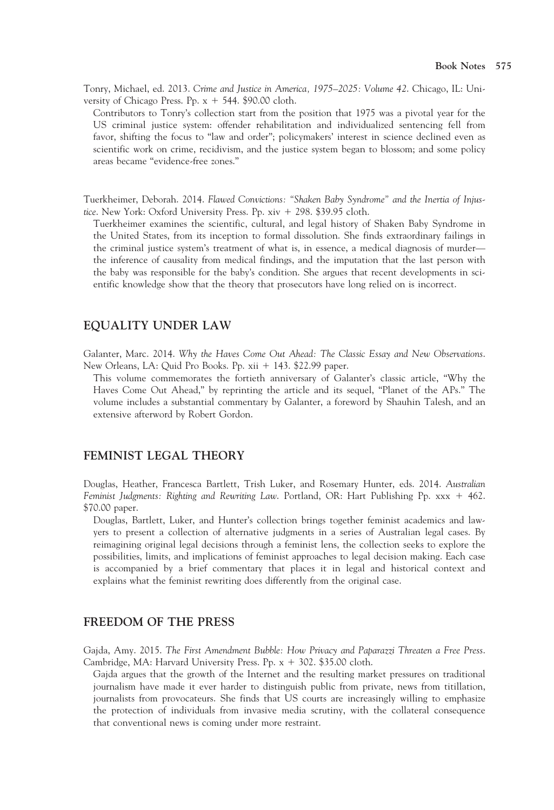Tonry, Michael, ed. 2013. Crime and Justice in America, 1975–2025: Volume 42. Chicago, IL: University of Chicago Press. Pp.  $x + 544$ . \$90.00 cloth.

Contributors to Tonry's collection start from the position that 1975 was a pivotal year for the US criminal justice system: offender rehabilitation and individualized sentencing fell from favor, shifting the focus to "law and order"; policymakers' interest in science declined even as scientific work on crime, recidivism, and the justice system began to blossom; and some policy areas became "evidence-free zones."

Tuerkheimer, Deborah. 2014. Flawed Convictions: "Shaken Baby Syndrome" and the Inertia of Injustice. New York: Oxford University Press. Pp.  $xiv + 298$ . \$39.95 cloth.

Tuerkheimer examines the scientific, cultural, and legal history of Shaken Baby Syndrome in the United States, from its inception to formal dissolution. She finds extraordinary failings in the criminal justice system's treatment of what is, in essence, a medical diagnosis of murder the inference of causality from medical findings, and the imputation that the last person with the baby was responsible for the baby's condition. She argues that recent developments in scientific knowledge show that the theory that prosecutors have long relied on is incorrect.

#### EQUALITY UNDER LAW

Galanter, Marc. 2014. Why the Haves Come Out Ahead: The Classic Essay and New Observations. New Orleans, LA: Quid Pro Books. Pp. xii + 143. \$22.99 paper.

This volume commemorates the fortieth anniversary of Galanter's classic article, "Why the Haves Come Out Ahead," by reprinting the article and its sequel, "Planet of the APs." The volume includes a substantial commentary by Galanter, a foreword by Shauhin Talesh, and an extensive afterword by Robert Gordon.

#### FEMINIST LEGAL THEORY

Douglas, Heather, Francesca Bartlett, Trish Luker, and Rosemary Hunter, eds. 2014. Australian Feminist Judgments: Righting and Rewriting Law. Portland, OR: Hart Publishing Pp.  $xxx + 462$ . \$70.00 paper.

Douglas, Bartlett, Luker, and Hunter's collection brings together feminist academics and lawyers to present a collection of alternative judgments in a series of Australian legal cases. By reimagining original legal decisions through a feminist lens, the collection seeks to explore the possibilities, limits, and implications of feminist approaches to legal decision making. Each case is accompanied by a brief commentary that places it in legal and historical context and explains what the feminist rewriting does differently from the original case.

#### FREEDOM OF THE PRESS

Gajda, Amy. 2015. The First Amendment Bubble: How Privacy and Paparazzi Threaten a Free Press. Cambridge, MA: Harvard University Press. Pp.  $x + 302$ . \$35.00 cloth.

Gajda argues that the growth of the Internet and the resulting market pressures on traditional journalism have made it ever harder to distinguish public from private, news from titillation, journalists from provocateurs. She finds that US courts are increasingly willing to emphasize the protection of individuals from invasive media scrutiny, with the collateral consequence that conventional news is coming under more restraint.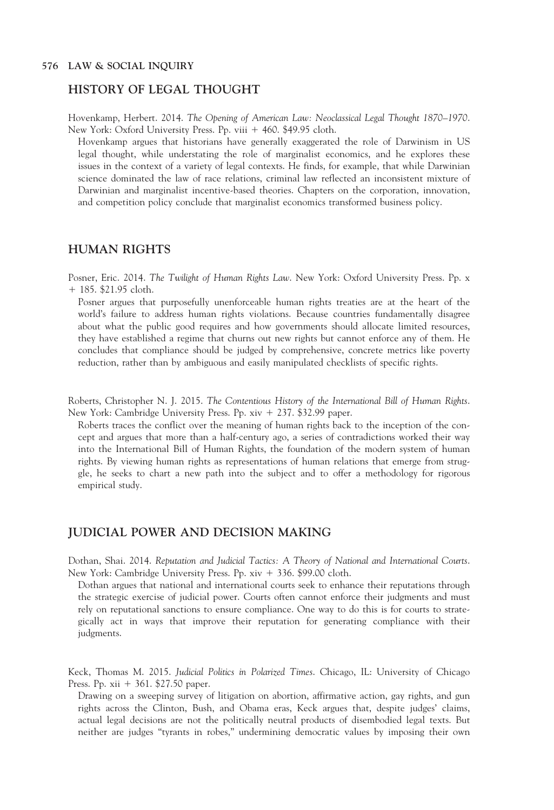#### HISTORY OF LEGAL THOUGHT

Hovenkamp, Herbert. 2014. The Opening of American Law: Neoclassical Legal Thought 1870–1970. New York: Oxford University Press. Pp. viii + 460. \$49.95 cloth.

Hovenkamp argues that historians have generally exaggerated the role of Darwinism in US legal thought, while understating the role of marginalist economics, and he explores these issues in the context of a variety of legal contexts. He finds, for example, that while Darwinian science dominated the law of race relations, criminal law reflected an inconsistent mixture of Darwinian and marginalist incentive-based theories. Chapters on the corporation, innovation, and competition policy conclude that marginalist economics transformed business policy.

# HUMAN RIGHTS

Posner, Eric. 2014. The Twilight of Human Rights Law. New York: Oxford University Press. Pp. x  $+ 185.$  \$21.95 cloth.

Posner argues that purposefully unenforceable human rights treaties are at the heart of the world's failure to address human rights violations. Because countries fundamentally disagree about what the public good requires and how governments should allocate limited resources, they have established a regime that churns out new rights but cannot enforce any of them. He concludes that compliance should be judged by comprehensive, concrete metrics like poverty reduction, rather than by ambiguous and easily manipulated checklists of specific rights.

Roberts, Christopher N. J. 2015. The Contentious History of the International Bill of Human Rights. New York: Cambridge University Press. Pp.  $xiv + 237$ . \$32.99 paper.

Roberts traces the conflict over the meaning of human rights back to the inception of the concept and argues that more than a half-century ago, a series of contradictions worked their way into the International Bill of Human Rights, the foundation of the modern system of human rights. By viewing human rights as representations of human relations that emerge from struggle, he seeks to chart a new path into the subject and to offer a methodology for rigorous empirical study.

## JUDICIAL POWER AND DECISION MAKING

Dothan, Shai. 2014. Reputation and Judicial Tactics: A Theory of National and International Courts. New York: Cambridge University Press. Pp. xiv + 336. \$99.00 cloth.

Dothan argues that national and international courts seek to enhance their reputations through the strategic exercise of judicial power. Courts often cannot enforce their judgments and must rely on reputational sanctions to ensure compliance. One way to do this is for courts to strategically act in ways that improve their reputation for generating compliance with their judgments.

Keck, Thomas M. 2015. Judicial Politics in Polarized Times. Chicago, IL: University of Chicago Press. Pp.  $xii + 361.$  \$27.50 paper.

Drawing on a sweeping survey of litigation on abortion, affirmative action, gay rights, and gun rights across the Clinton, Bush, and Obama eras, Keck argues that, despite judges' claims, actual legal decisions are not the politically neutral products of disembodied legal texts. But neither are judges "tyrants in robes," undermining democratic values by imposing their own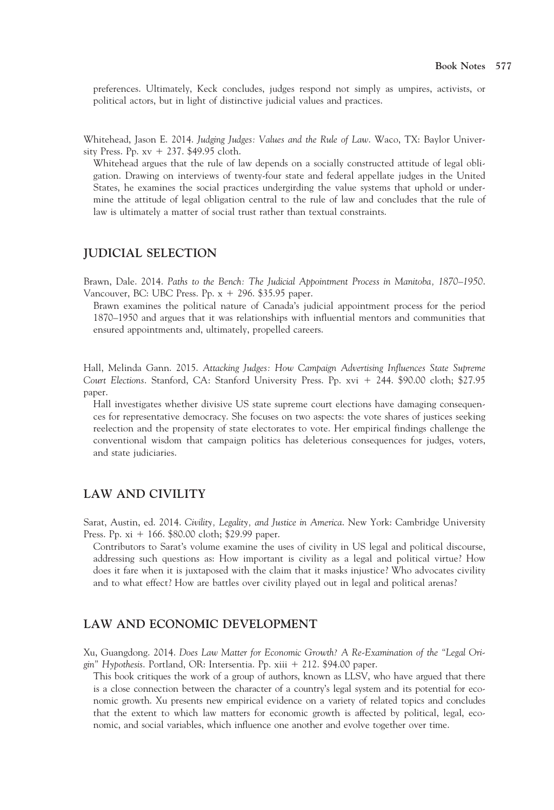preferences. Ultimately, Keck concludes, judges respond not simply as umpires, activists, or political actors, but in light of distinctive judicial values and practices.

Whitehead, Jason E. 2014. Judging Judges: Values and the Rule of Law. Waco, TX: Baylor University Press. Pp.  $xy + 237$ . \$49.95 cloth.

Whitehead argues that the rule of law depends on a socially constructed attitude of legal obligation. Drawing on interviews of twenty-four state and federal appellate judges in the United States, he examines the social practices undergirding the value systems that uphold or undermine the attitude of legal obligation central to the rule of law and concludes that the rule of law is ultimately a matter of social trust rather than textual constraints.

#### JUDICIAL SELECTION

Brawn, Dale. 2014. Paths to the Bench: The Judicial Appointment Process in Manitoba, 1870–1950. Vancouver, BC: UBC Press. Pp.  $x + 296$ . \$35.95 paper.

Brawn examines the political nature of Canada's judicial appointment process for the period 1870–1950 and argues that it was relationships with influential mentors and communities that ensured appointments and, ultimately, propelled careers.

Hall, Melinda Gann. 2015. Attacking Judges: How Campaign Advertising Influences State Supreme Court Elections. Stanford, CA: Stanford University Press. Pp. xvi + 244. \$90.00 cloth; \$27.95 paper.

Hall investigates whether divisive US state supreme court elections have damaging consequences for representative democracy. She focuses on two aspects: the vote shares of justices seeking reelection and the propensity of state electorates to vote. Her empirical findings challenge the conventional wisdom that campaign politics has deleterious consequences for judges, voters, and state judiciaries.

## LAW AND CIVILITY

Sarat, Austin, ed. 2014. Civility, Legality, and Justice in America. New York: Cambridge University Press. Pp.  $xi + 166$ . \$80.00 cloth; \$29.99 paper.

Contributors to Sarat's volume examine the uses of civility in US legal and political discourse, addressing such questions as: How important is civility as a legal and political virtue? How does it fare when it is juxtaposed with the claim that it masks injustice? Who advocates civility and to what effect? How are battles over civility played out in legal and political arenas?

# LAW AND ECONOMIC DEVELOPMENT

Xu, Guangdong. 2014. Does Law Matter for Economic Growth? A Re-Examination of the "Legal Origin" Hypothesis. Portland, OR: Intersentia. Pp. xiii 1 212. \$94.00 paper.

This book critiques the work of a group of authors, known as LLSV, who have argued that there is a close connection between the character of a country's legal system and its potential for economic growth. Xu presents new empirical evidence on a variety of related topics and concludes that the extent to which law matters for economic growth is affected by political, legal, economic, and social variables, which influence one another and evolve together over time.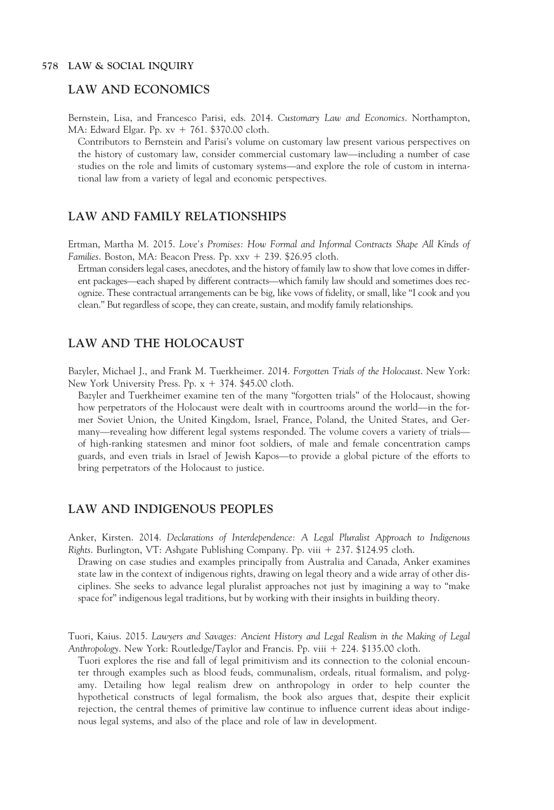#### LAW AND ECONOMICS

Bernstein, Lisa, and Francesco Parisi, eds. 2014. Customary Law and Economics. Northampton, MA: Edward Elgar. Pp.  $xy + 761$ . \$370.00 cloth.

Contributors to Bernstein and Parisi's volume on customary law present various perspectives on the history of customary law, consider commercial customary law—including a number of case studies on the role and limits of customary systems—and explore the role of custom in international law from a variety of legal and economic perspectives.

#### LAW AND FAMILY RELATIONSHIPS

Ertman, Martha M. 2015. Love's Promises: How Formal and Informal Contracts Shape All Kinds of Families. Boston, MA: Beacon Press. Pp. xxv + 239. \$26.95 cloth.

Ertman considers legal cases, anecdotes, and the history of family law to show that love comes in different packages—each shaped by different contracts—which family law should and sometimes does recognize. These contractual arrangements can be big, like vows of fidelity, or small, like "I cook and you clean." But regardless of scope, they can create, sustain, and modify family relationships.

#### LAW AND THE HOLOCAUST

Bazyler, Michael J., and Frank M. Tuerkheimer. 2014. Forgotten Trials of the Holocaust. New York: New York University Press. Pp.  $x + 374$ . \$45.00 cloth.

Bazyler and Tuerkheimer examine ten of the many "forgotten trials" of the Holocaust, showing how perpetrators of the Holocaust were dealt with in courtrooms around the world—in the former Soviet Union, the United Kingdom, Israel, France, Poland, the United States, and Germany—revealing how different legal systems responded. The volume covers a variety of trials of high-ranking statesmen and minor foot soldiers, of male and female concentration camps guards, and even trials in Israel of Jewish Kapos—to provide a global picture of the efforts to bring perpetrators of the Holocaust to justice.

#### LAW AND INDIGENOUS PEOPLES

Anker, Kirsten. 2014. Declarations of Interdependence: A Legal Pluralist Approach to Indigenous Rights. Burlington, VT: Ashgate Publishing Company. Pp. viii + 237. \$124.95 cloth.

Drawing on case studies and examples principally from Australia and Canada, Anker examines state law in the context of indigenous rights, drawing on legal theory and a wide array of other disciplines. She seeks to advance legal pluralist approaches not just by imagining a way to "make space for" indigenous legal traditions, but by working with their insights in building theory.

Tuori, Kaius. 2015. Lawyers and Savages: Ancient History and Legal Realism in the Making of Legal Anthropology. New York: Routledge/Taylor and Francis. Pp. viii + 224. \$135.00 cloth.

Tuori explores the rise and fall of legal primitivism and its connection to the colonial encounter through examples such as blood feuds, communalism, ordeals, ritual formalism, and polygamy. Detailing how legal realism drew on anthropology in order to help counter the hypothetical constructs of legal formalism, the book also argues that, despite their explicit rejection, the central themes of primitive law continue to influence current ideas about indigenous legal systems, and also of the place and role of law in development.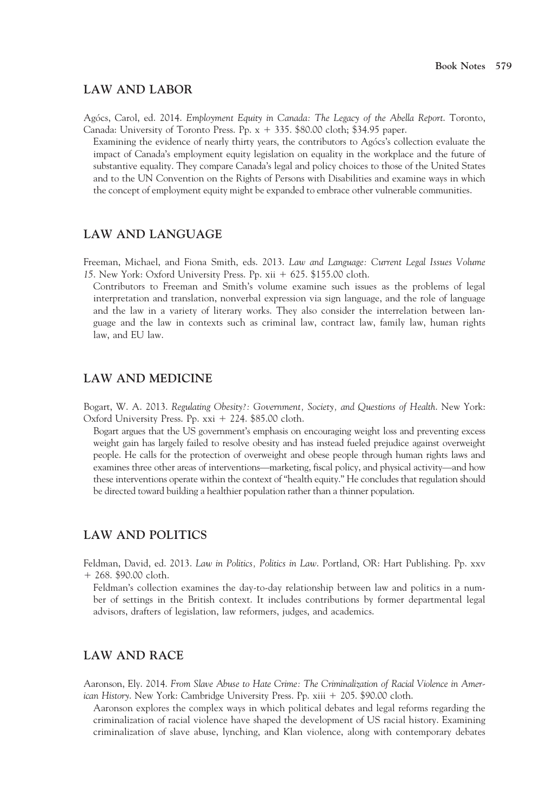#### LAW AND LABOR

Agócs, Carol, ed. 2014. Employment Equity in Canada: The Legacy of the Abella Report. Toronto, Canada: University of Toronto Press. Pp.  $x + 335$ . \$80.00 cloth; \$34.95 paper.

Examining the evidence of nearly thirty years, the contributors to Agócs's collection evaluate the impact of Canada's employment equity legislation on equality in the workplace and the future of substantive equality. They compare Canada's legal and policy choices to those of the United States and to the UN Convention on the Rights of Persons with Disabilities and examine ways in which the concept of employment equity might be expanded to embrace other vulnerable communities.

# LAW AND LANGUAGE

Freeman, Michael, and Fiona Smith, eds. 2013. Law and Language: Current Legal Issues Volume 15. New York: Oxford University Press. Pp. xii + 625. \$155.00 cloth.

Contributors to Freeman and Smith's volume examine such issues as the problems of legal interpretation and translation, nonverbal expression via sign language, and the role of language and the law in a variety of literary works. They also consider the interrelation between language and the law in contexts such as criminal law, contract law, family law, human rights law, and EU law.

## LAW AND MEDICINE

Bogart, W. A. 2013. Regulating Obesity?: Government, Society, and Questions of Health. New York: Oxford University Press. Pp.  $xxi + 224$ . \$85.00 cloth.

Bogart argues that the US government's emphasis on encouraging weight loss and preventing excess weight gain has largely failed to resolve obesity and has instead fueled prejudice against overweight people. He calls for the protection of overweight and obese people through human rights laws and examines three other areas of interventions—marketing, fiscal policy, and physical activity—and how these interventions operate within the context of "health equity." He concludes that regulation should be directed toward building a healthier population rather than a thinner population.

## LAW AND POLITICS

Feldman, David, ed. 2013. Law in Politics, Politics in Law. Portland, OR: Hart Publishing. Pp. xxv  $+268.$  \$90.00 cloth.

Feldman's collection examines the day-to-day relationship between law and politics in a number of settings in the British context. It includes contributions by former departmental legal advisors, drafters of legislation, law reformers, judges, and academics.

# LAW AND RACE

Aaronson, Ely. 2014. From Slave Abuse to Hate Crime: The Criminalization of Racial Violence in American History. New York: Cambridge University Press. Pp. xiii 1 205. \$90.00 cloth.

Aaronson explores the complex ways in which political debates and legal reforms regarding the criminalization of racial violence have shaped the development of US racial history. Examining criminalization of slave abuse, lynching, and Klan violence, along with contemporary debates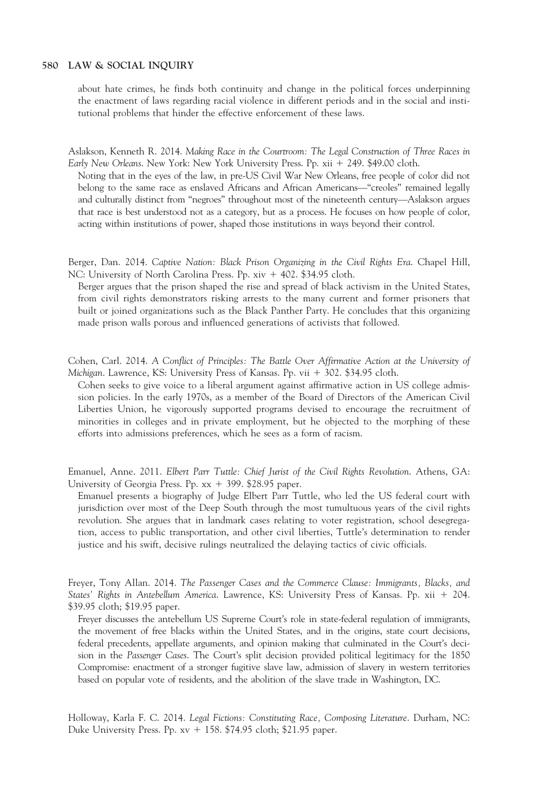about hate crimes, he finds both continuity and change in the political forces underpinning the enactment of laws regarding racial violence in different periods and in the social and institutional problems that hinder the effective enforcement of these laws.

Aslakson, Kenneth R. 2014. Making Race in the Courtroom: The Legal Construction of Three Races in Early New Orleans. New York: New York University Press. Pp. xii + 249. \$49.00 cloth.

Noting that in the eyes of the law, in pre-US Civil War New Orleans, free people of color did not belong to the same race as enslaved Africans and African Americans—"creoles" remained legally and culturally distinct from "negroes" throughout most of the nineteenth century—Aslakson argues that race is best understood not as a category, but as a process. He focuses on how people of color, acting within institutions of power, shaped those institutions in ways beyond their control.

Berger, Dan. 2014. Captive Nation: Black Prison Organizing in the Civil Rights Era. Chapel Hill, NC: University of North Carolina Press. Pp. xiv + 402. \$34.95 cloth.

Berger argues that the prison shaped the rise and spread of black activism in the United States, from civil rights demonstrators risking arrests to the many current and former prisoners that built or joined organizations such as the Black Panther Party. He concludes that this organizing made prison walls porous and influenced generations of activists that followed.

Cohen, Carl. 2014. A Conflict of Principles: The Battle Over Affirmative Action at the University of Michigan. Lawrence, KS: University Press of Kansas. Pp. vii + 302. \$34.95 cloth.

Cohen seeks to give voice to a liberal argument against affirmative action in US college admission policies. In the early 1970s, as a member of the Board of Directors of the American Civil Liberties Union, he vigorously supported programs devised to encourage the recruitment of minorities in colleges and in private employment, but he objected to the morphing of these efforts into admissions preferences, which he sees as a form of racism.

Emanuel, Anne. 2011. Elbert Parr Tuttle: Chief Jurist of the Civil Rights Revolution. Athens, GA: University of Georgia Press. Pp.  $xx + 399$ . \$28.95 paper.

Emanuel presents a biography of Judge Elbert Parr Tuttle, who led the US federal court with jurisdiction over most of the Deep South through the most tumultuous years of the civil rights revolution. She argues that in landmark cases relating to voter registration, school desegregation, access to public transportation, and other civil liberties, Tuttle's determination to render justice and his swift, decisive rulings neutralized the delaying tactics of civic officials.

Freyer, Tony Allan. 2014. The Passenger Cases and the Commerce Clause: Immigrants, Blacks, and States' Rights in Antebellum America. Lawrence, KS: University Press of Kansas. Pp. xii + 204. \$39.95 cloth; \$19.95 paper.

Freyer discusses the antebellum US Supreme Court's role in state-federal regulation of immigrants, the movement of free blacks within the United States, and in the origins, state court decisions, federal precedents, appellate arguments, and opinion making that culminated in the Court's decision in the Passenger Cases. The Court's split decision provided political legitimacy for the 1850 Compromise: enactment of a stronger fugitive slave law, admission of slavery in western territories based on popular vote of residents, and the abolition of the slave trade in Washington, DC.

Holloway, Karla F. C. 2014. Legal Fictions: Constituting Race, Composing Literature. Durham, NC: Duke University Press. Pp.  $xy + 158$ . \$74.95 cloth; \$21.95 paper.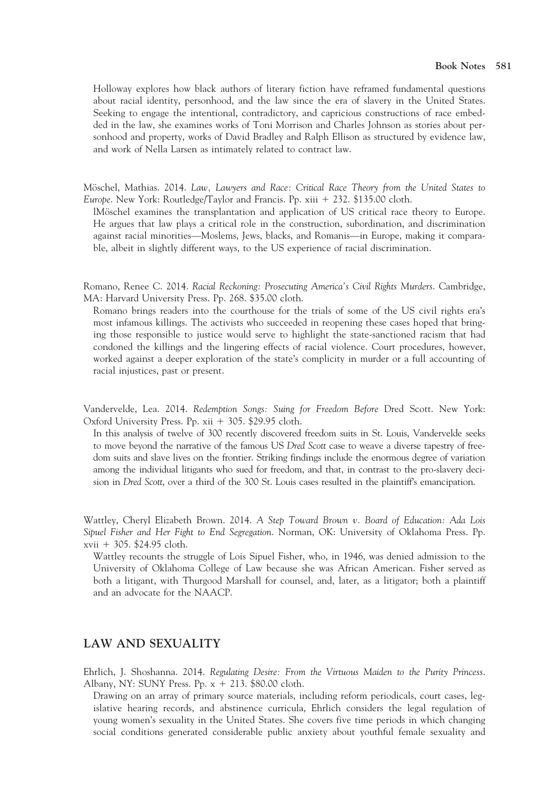Holloway explores how black authors of literary fiction have reframed fundamental questions about racial identity, personhood, and the law since the era of slavery in the United States. Seeking to engage the intentional, contradictory, and capricious constructions of race embedded in the law, she examines works of Toni Morrison and Charles Johnson as stories about personhood and property, works of David Bradley and Ralph Ellison as structured by evidence law, and work of Nella Larsen as intimately related to contract law.

Möschel, Mathias. 2014. Law, Lawyers and Race: Critical Race Theory from the United States to Europe. New York: Routledge/Taylor and Francis. Pp. xiii  $+ 232.$  \$135.00 cloth.

lMöschel examines the transplantation and application of US critical race theory to Europe. He argues that law plays a critical role in the construction, subordination, and discrimination against racial minorities—Moslems, Jews, blacks, and Romanis—in Europe, making it comparable, albeit in slightly different ways, to the US experience of racial discrimination.

Romano, Renee C. 2014. Racial Reckoning: Prosecuting America's Civil Rights Murders. Cambridge, MA: Harvard University Press. Pp. 268. \$35.00 cloth.

Romano brings readers into the courthouse for the trials of some of the US civil rights era's most infamous killings. The activists who succeeded in reopening these cases hoped that bringing those responsible to justice would serve to highlight the state-sanctioned racism that had condoned the killings and the lingering effects of racial violence. Court procedures, however, worked against a deeper exploration of the state's complicity in murder or a full accounting of racial injustices, past or present.

Vandervelde, Lea. 2014. Redemption Songs: Suing for Freedom Before Dred Scott. New York: Oxford University Press. Pp. xii + 305. \$29.95 cloth.

In this analysis of twelve of 300 recently discovered freedom suits in St. Louis, Vandervelde seeks to move beyond the narrative of the famous US Dred Scott case to weave a diverse tapestry of freedom suits and slave lives on the frontier. Striking findings include the enormous degree of variation among the individual litigants who sued for freedom, and that, in contrast to the pro-slavery decision in Dred Scott, over a third of the 300 St. Louis cases resulted in the plaintiff's emancipation.

Wattley, Cheryl Elizabeth Brown. 2014. A Step Toward Brown v. Board of Education: Ada Lois Sipuel Fisher and Her Fight to End Segregation. Norman, OK: University of Oklahoma Press. Pp.  $xvii + 305.$  \$24.95 cloth.

Wattley recounts the struggle of Lois Sipuel Fisher, who, in 1946, was denied admission to the University of Oklahoma College of Law because she was African American. Fisher served as both a litigant, with Thurgood Marshall for counsel, and, later, as a litigator; both a plaintiff and an advocate for the NAACP.

## LAW AND SEXUALITY

Ehrlich, J. Shoshanna. 2014. Regulating Desire: From the Virtuous Maiden to the Purity Princess. Albany, NY: SUNY Press. Pp.  $x + 213$ . \$80.00 cloth.

Drawing on an array of primary source materials, including reform periodicals, court cases, legislative hearing records, and abstinence curricula, Ehrlich considers the legal regulation of young women's sexuality in the United States. She covers five time periods in which changing social conditions generated considerable public anxiety about youthful female sexuality and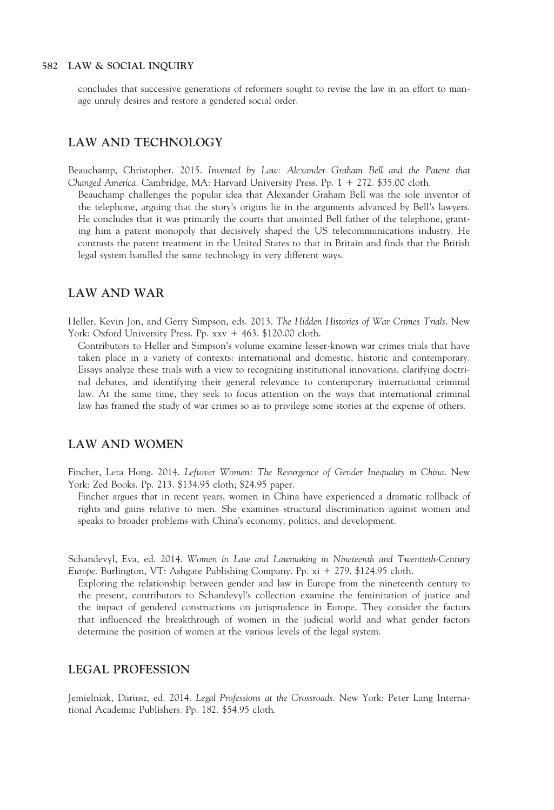concludes that successive generations of reformers sought to revise the law in an effort to manage unruly desires and restore a gendered social order.

#### LAW AND TECHNOLOGY

Beauchamp, Christopher. 2015. Invented by Law: Alexander Graham Bell and the Patent that Changed America. Cambridge, MA: Harvard University Press. Pp.  $1 + 272$ . \$35.00 cloth.

Beauchamp challenges the popular idea that Alexander Graham Bell was the sole inventor of the telephone, arguing that the story's origins lie in the arguments advanced by Bell's lawyers. He concludes that it was primarily the courts that anointed Bell father of the telephone, granting him a patent monopoly that decisively shaped the US telecommunications industry. He contrasts the patent treatment in the United States to that in Britain and finds that the British legal system handled the same technology in very different ways.

## LAW AND WAR

Heller, Kevin Jon, and Gerry Simpson, eds. 2013. The Hidden Histories of War Crimes Trials. New York: Oxford University Press. Pp.  $xxv + 463$ . \$120.00 cloth.

Contributors to Heller and Simpson's volume examine lesser-known war crimes trials that have taken place in a variety of contexts: international and domestic, historic and contemporary. Essays analyze these trials with a view to recognizing institutional innovations, clarifying doctrinal debates, and identifying their general relevance to contemporary international criminal law. At the same time, they seek to focus attention on the ways that international criminal law has framed the study of war crimes so as to privilege some stories at the expense of others.

# LAW AND WOMEN

Fincher, Leta Hong. 2014. Leftover Women: The Resurgence of Gender Inequality in China. New York: Zed Books. Pp. 213. \$134.95 cloth; \$24.95 paper.

Fincher argues that in recent years, women in China have experienced a dramatic rollback of rights and gains relative to men. She examines structural discrimination against women and speaks to broader problems with China's economy, politics, and development.

Schandevyl, Eva, ed. 2014. Women in Law and Lawmaking in Nineteenth and Twentieth-Century Europe. Burlington, VT: Ashgate Publishing Company. Pp. xi + 279. \$124.95 cloth.

Exploring the relationship between gender and law in Europe from the nineteenth century to the present, contributors to Schandevyl's collection examine the feminization of justice and the impact of gendered constructions on jurisprudence in Europe. They consider the factors that influenced the breakthrough of women in the judicial world and what gender factors determine the position of women at the various levels of the legal system.

#### LEGAL PROFESSION

Jemielniak, Dariusz, ed. 2014. Legal Professions at the Crossroads. New York: Peter Lang International Academic Publishers. Pp. 182. \$54.95 cloth.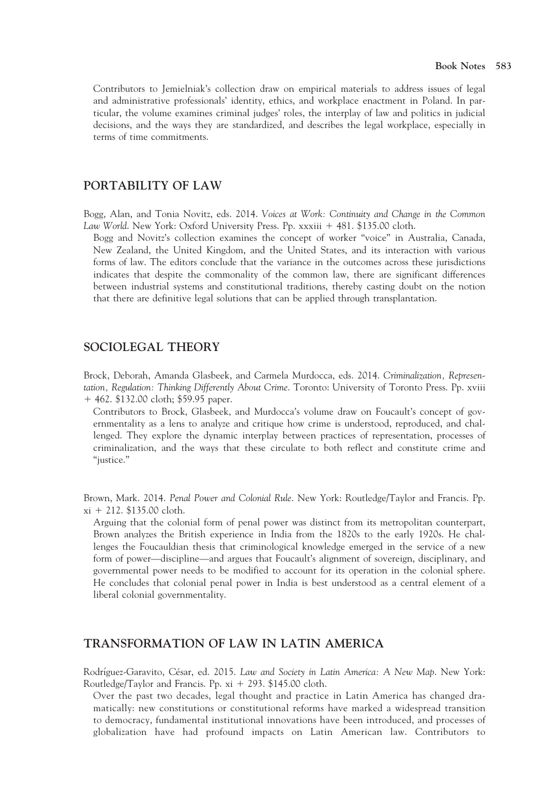Contributors to Jemielniak's collection draw on empirical materials to address issues of legal and administrative professionals' identity, ethics, and workplace enactment in Poland. In particular, the volume examines criminal judges' roles, the interplay of law and politics in judicial decisions, and the ways they are standardized, and describes the legal workplace, especially in terms of time commitments.

#### PORTABILITY OF LAW

Bogg, Alan, and Tonia Novitz, eds. 2014. Voices at Work: Continuity and Change in the Common Law World. New York: Oxford University Press. Pp. xxxiii + 481. \$135.00 cloth.

Bogg and Novitz's collection examines the concept of worker "voice" in Australia, Canada, New Zealand, the United Kingdom, and the United States, and its interaction with various forms of law. The editors conclude that the variance in the outcomes across these jurisdictions indicates that despite the commonality of the common law, there are significant differences between industrial systems and constitutional traditions, thereby casting doubt on the notion that there are definitive legal solutions that can be applied through transplantation.

# SOCIOLEGAL THEORY

Brock, Deborah, Amanda Glasbeek, and Carmela Murdocca, eds. 2014. Criminalization, Representation, Regulation: Thinking Differently About Crime. Toronto: University of Toronto Press. Pp. xviii + 462. \$132.00 cloth; \$59.95 paper.

Contributors to Brock, Glasbeek, and Murdocca's volume draw on Foucault's concept of governmentality as a lens to analyze and critique how crime is understood, reproduced, and challenged. They explore the dynamic interplay between practices of representation, processes of criminalization, and the ways that these circulate to both reflect and constitute crime and "justice."

Brown, Mark. 2014. Penal Power and Colonial Rule. New York: Routledge/Taylor and Francis. Pp.  $xi + 212.$  \$135.00 cloth.

Arguing that the colonial form of penal power was distinct from its metropolitan counterpart, Brown analyzes the British experience in India from the 1820s to the early 1920s. He challenges the Foucauldian thesis that criminological knowledge emerged in the service of a new form of power—discipline—and argues that Foucault's alignment of sovereign, disciplinary, and governmental power needs to be modified to account for its operation in the colonial sphere. He concludes that colonial penal power in India is best understood as a central element of a liberal colonial governmentality.

# TRANSFORMATION OF LAW IN LATIN AMERICA

Rodríguez-Garavito, César, ed. 2015. Law and Society in Latin America: A New Map. New York: Routledge/Taylor and Francis. Pp.  $xi + 293$ . \$145.00 cloth.

Over the past two decades, legal thought and practice in Latin America has changed dramatically: new constitutions or constitutional reforms have marked a widespread transition to democracy, fundamental institutional innovations have been introduced, and processes of globalization have had profound impacts on Latin American law. Contributors to